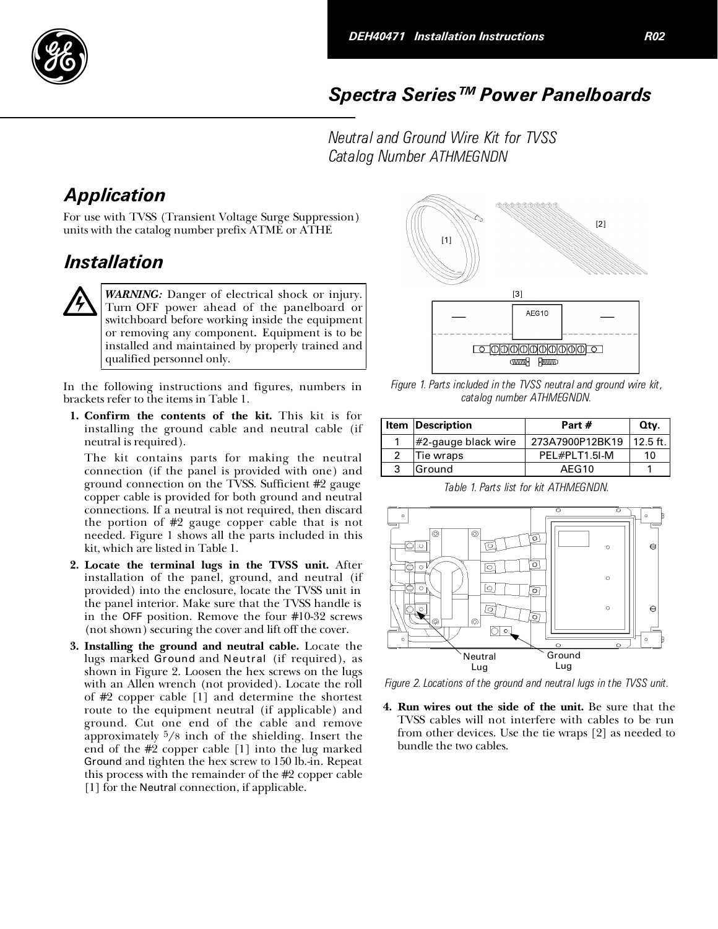

## Spectra Series™ Power Panelboards

Neutral and Ground Wire Kit for TVSS Catalog Number ATHMEGNDN

## Application

For use with TVSS (Transient Voltage Surge Suppression) units with the catalog number prefix ATME or ATHE

## Installation

WARNING: Danger of electrical shock or injury. Turn OFF power ahead of the panelboard or switchboard before working inside the equipment or removing any component. Equipment is to be installed and maintained by properly trained and qualified personnel only.

In the following instructions and figures, numbers in brackets refer to the items in Table 1.

1. Confirm the contents of the kit. This kit is for installing the ground cable and neutral cable (if neutral is required).

The kit contains parts for making the neutral connection (if the panel is provided with one) and ground connection on the TVSS. Sufficient #2 gauge copper cable is provided for both ground and neutral connections. If a neutral is not required, then discard the portion of #2 gauge copper cable that is not needed. Figure 1 shows all the parts included in this kit, which are listed in Table 1.

- 2. Locate the terminal lugs in the TVSS unit. After installation of the panel, ground, and neutral (if provided) into the enclosure, locate the TVSS unit in the panel interior. Make sure that the TVSS handle is in the OFF position. Remove the four #10-32 screws (not shown) securing the cover and lift off the cover.
- 3. Installing the ground and neutral cable. Locate the lugs marked Ground and Neutral (if required), as shown in Figure 2. Loosen the hex screws on the lugs with an Allen wrench (not provided). Locate the roll of #2 copper cable [1] and determine the shortest route to the equipment neutral (if applicable) and ground. Cut one end of the cable and remove approximately 5/8 inch of the shielding. Insert the end of the #2 copper cable [1] into the lug marked Ground and tighten the hex screw to 150 lb.-in. Repeat this process with the remainder of the #2 copper cable [1] for the Neutral connection, if applicable.



Figure 1. Parts included in the TVSS neutral and ground wire kit, catalog number ATHMEGNDN.

|   | <b>Item Description</b> | Part #          | Qty.       |
|---|-------------------------|-----------------|------------|
|   | #2-gauge black wire     | 273A7900P12BK19 | $12.5$ ft. |
| 2 | Tie wraps               | PFI #PI T1 5I-M | 10         |
| 3 | Ground                  | AFG10           |            |

Table 1. Parts list for kit ATHMEGNDN.



Figure 2. Locations of the ground and neutral lugs in the TVSS unit.

4. Run wires out the side of the unit. Be sure that the TVSS cables will not interfere with cables to be run from other devices. Use the tie wraps [2] as needed to bundle the two cables.